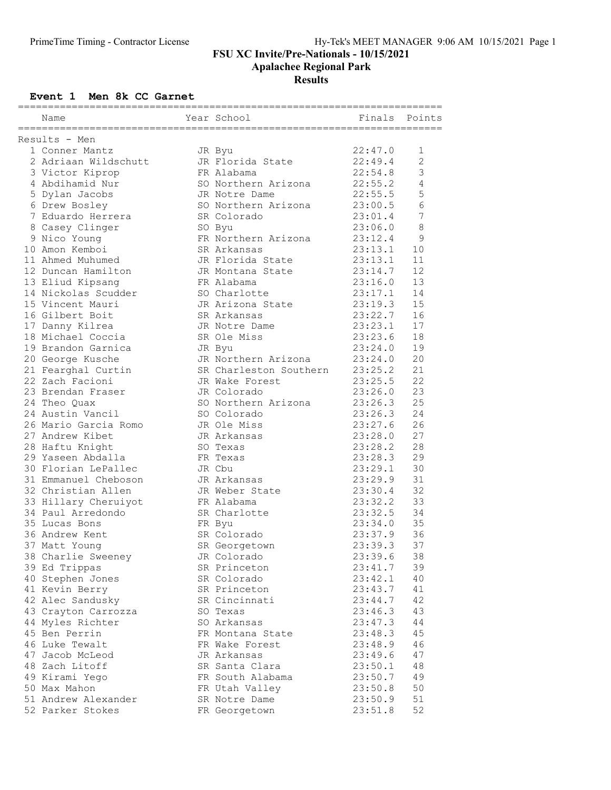#### Results

### Event 1 Men 8k CC Garnet

| Name                 | Year School                | Finals  | Points         |
|----------------------|----------------------------|---------|----------------|
| Results - Men        |                            |         |                |
| 1 Conner Mantz       |                            | 22:47.0 | 1              |
| 2 Adriaan Wildschutt | JR Byu<br>JR Florida State | 22:49.4 | $\mathbf{2}$   |
|                      | FR Alabama                 | 22:54.8 | 3              |
| 3 Victor Kiprop      |                            |         |                |
| 4 Abdihamid Nur      | SO Northern Arizona        | 22:55.2 | 4              |
| 5 Dylan Jacobs       | JR Notre Dame              | 22:55.5 | 5              |
| 6 Drew Bosley        | SO Northern Arizona        | 23:00.5 | 6              |
| 7 Eduardo Herrera    | SR Colorado                | 23:01.4 | $\overline{7}$ |
| 8 Casey Clinger      | SO Byu                     | 23:06.0 | $\,8\,$        |
| 9 Nico Young         | FR Northern Arizona        | 23:12.4 | 9              |
| 10 Amon Kemboi       | SR Arkansas                | 23:13.1 | 10             |
| 11 Ahmed Muhumed     | JR Florida State           | 23:13.1 | 11             |
| 12 Duncan Hamilton   | JR Montana State           | 23:14.7 | 12             |
| 13 Eliud Kipsang     | FR Alabama                 | 23:16.0 | 13             |
| 14 Nickolas Scudder  | SO Charlotte               | 23:17.1 | 14             |
| 15 Vincent Mauri     | JR Arizona State           | 23:19.3 | 15             |
| 16 Gilbert Boit      | SR Arkansas                | 23:22.7 | 16             |
| 17 Danny Kilrea      | JR Notre Dame              | 23:23.1 | 17             |
| 18 Michael Coccia    | SR Ole Miss                | 23:23.6 | 18             |
| 19 Brandon Garnica   | JR Byu                     | 23:24.0 | 19             |
| 20 George Kusche     | JR Northern Arizona        | 23:24.0 | 20             |
| 21 Fearghal Curtin   | SR Charleston Southern     | 23:25.2 | 21             |
| 22 Zach Facioni      | JR Wake Forest             | 23:25.5 | 22             |
| 23 Brendan Fraser    | JR Colorado                | 23:26.0 | 23             |
| 24 Theo Quax         | SO Northern Arizona        | 23:26.3 | 25             |
| 24 Austin Vancil     | SO Colorado                | 23:26.3 | 24             |
| 26 Mario Garcia Romo | JR Ole Miss                | 23:27.6 | 26             |
| 27 Andrew Kibet      | JR Arkansas                | 23:28.0 | 27             |
| 28 Haftu Knight      | SO Texas                   | 23:28.2 | 28             |
| 29 Yaseen Abdalla    | FR Texas                   | 23:28.3 | 29             |
| 30 Florian LePallec  | JR Cbu                     | 23:29.1 | 30             |
|                      |                            |         | 31             |
| 31 Emmanuel Cheboson | JR Arkansas                | 23:29.9 |                |
| 32 Christian Allen   | JR Weber State             | 23:30.4 | 32             |
| 33 Hillary Cheruiyot | FR Alabama                 | 23:32.2 | 33             |
| 34 Paul Arredondo    | SR Charlotte               | 23:32.5 | 34             |
| 35 Lucas Bons        | FR Byu                     | 23:34.0 | 35             |
| 36 Andrew Kent       | SR Colorado                | 23:37.9 | 36             |
| 37 Matt Young        | SR Georgetown              | 23:39.3 | 37             |
| 38 Charlie Sweeney   | JR Colorado                | 23:39.6 | 38             |
| 39 Ed Trippas        | SR Princeton               | 23:41.7 | 39             |
| 40 Stephen Jones     | SR Colorado                | 23:42.1 | 40             |
| 41 Kevin Berry       | SR Princeton               | 23:43.7 | 41             |
| 42 Alec Sandusky     | SR Cincinnati              | 23:44.7 | 42             |
| 43 Crayton Carrozza  | SO Texas                   | 23:46.3 | 43             |
| 44 Myles Richter     | SO Arkansas                | 23:47.3 | 44             |
| 45 Ben Perrin        | FR Montana State           | 23:48.3 | 45             |
| 46 Luke Tewalt       | FR Wake Forest             | 23:48.9 | 46             |
| 47 Jacob McLeod      | JR Arkansas                | 23:49.6 | 47             |
| 48 Zach Litoff       | SR Santa Clara             | 23:50.1 | 48             |
| 49 Kirami Yego       | FR South Alabama           | 23:50.7 | 49             |
| 50 Max Mahon         | FR Utah Valley             | 23:50.8 | 50             |
| 51 Andrew Alexander  | SR Notre Dame              | 23:50.9 | 51             |
| 52 Parker Stokes     | FR Georgetown              | 23:51.8 | 52             |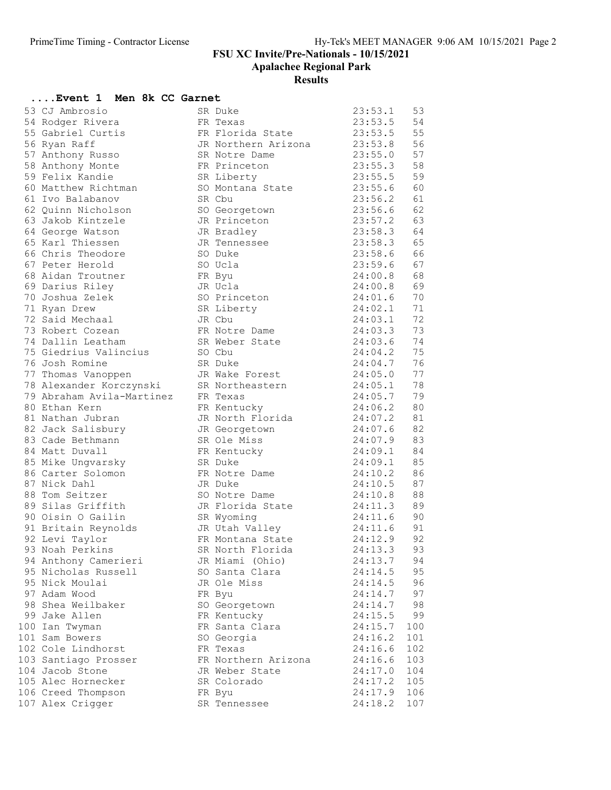Apalachee Regional Park

#### Results

## ....Event 1 Men 8k CC Garnet

| 53 CJ Ambrosio                         | SR Duke                         | 23:53.1            | 53       |
|----------------------------------------|---------------------------------|--------------------|----------|
| 54 Rodger Rivera                       | FR Texas                        | 23:53.5            | 54       |
| 55 Gabriel Curtis                      | FR Florida State                | 23:53.5            | 55       |
| 56 Ryan Raff                           | JR Northern Arizona             | 23:53.8            | 56       |
| 57 Anthony Russo                       | SR Notre Dame                   | 23:55.0            | 57       |
| 58 Anthony Monte                       | FR Princeton                    | 23:55.3            | 58       |
| 59 Felix Kandie                        | SR Liberty                      | 23:55.5            | 59       |
| 60 Matthew Richtman                    | SO Montana State                | 23:55.6            | 60       |
| 61 Ivo Balabanov                       | SR Cbu                          | 23:56.2            | 61       |
| 62 Quinn Nicholson                     | SO Georgetown                   | 23:56.6            | 62       |
| 63 Jakob Kintzele                      | JR Princeton                    | 23:57.2            | 63       |
| 64 George Watson                       | JR Bradley                      | 23:58.3            | 64       |
| 65 Karl Thiessen                       | JR Tennessee                    | 23:58.3            | 65       |
| 66 Chris Theodore                      | SO Duke                         | 23:58.6            | 66       |
| 67 Peter Herold                        | SO Ucla                         | 23:59.6            | 67       |
| 68 Aidan Troutner                      | FR Byu                          | 24:00.8            | 68       |
| 69 Darius Riley                        | JR Ucla                         | 24:00.8            | 69       |
| 70 Joshua Zelek                        | SO Princeton                    | 24:01.6            | 70       |
| 71 Ryan Drew                           | SR Liberty                      | 24:02.1            | 71       |
| 72 Said Mechaal                        | JR Cbu                          | 24:03.1            | 72       |
| 73 Robert Cozean                       | FR Notre Dame                   | 24:03.3            | 73       |
| 74 Dallin Leatham                      | SR Weber State                  | 24:03.6            | 74       |
| 75 Giedrius Valincius                  | SO Cbu                          | 24:04.2            | 75       |
| 76 Josh Romine                         | SR Duke                         | 24:04.7            | 76       |
| 77 Thomas Vanoppen                     | JR Wake Forest                  | 24:05.0            | 77       |
| 78 Alexander Korczynski                | SR Northeastern                 | 24:05.1            | 78       |
| 79 Abraham Avila-Martinez              | FR Texas                        | 24:05.7            | 79       |
| 80 Ethan Kern                          |                                 | 24:06.2            | 80       |
| 81 Nathan Jubran                       | FR Kentucky<br>JR North Florida | 24:07.2            | 81       |
|                                        |                                 |                    | 82       |
| 82 Jack Salisbury<br>83 Cade Bethmann  | JR Georgetown<br>SR Ole Miss    | 24:07.6<br>24:07.9 | 83       |
| 84 Matt Duvall                         |                                 | 24:09.1            | 84       |
|                                        | FR Kentucky                     | 24:09.1            |          |
| 85 Mike Ungvarsky<br>86 Carter Solomon | SR Duke                         | 24:10.2            | 85<br>86 |
| 87 Nick Dahl                           | FR Notre Dame<br>JR Duke        | 24:10.5            | 87       |
|                                        |                                 | 24:10.8            |          |
| 88 Tom Seitzer<br>89 Silas Griffith    | SO Notre Dame                   |                    | 88       |
|                                        | JR Florida State                | 24:11.3            | 89       |
| 90 Oisin O Gailin                      | SR Wyoming                      | 24:11.6            | 90       |
| 91 Britain Reynolds                    | JR Utah Valley                  | 24:11.6            | 91       |
| 92 Levi Taylor                         | FR Montana State                | 24:12.9            | 92       |
| 93 Noah Perkins                        | SR North Florida                | 24:13.3            | 93       |
| 94 Anthony Camerieri                   | JR Miami (Ohio)                 | 24:13.7            | 94       |
| 95 Nicholas Russell                    | SO Santa Clara                  | 24:14.5            | 95       |
| 95 Nick Moulai                         | JR Ole Miss                     | 24:14.5            | 96       |
| 97 Adam Wood                           | FR Byu                          | 24:14.7            | 97       |
| 98 Shea Weilbaker                      | SO Georgetown                   | 24:14.7            | 98       |
| 99 Jake Allen                          | FR Kentucky                     | 24:15.5            | 99       |
| 100 Ian Twyman                         | FR Santa Clara                  | 24:15.7            | 100      |
| 101 Sam Bowers                         | SO Georgia                      | 24:16.2            | 101      |
| 102 Cole Lindhorst                     | FR Texas                        | 24:16.6            | 102      |
| 103 Santiago Prosser                   | FR Northern Arizona             | 24:16.6            | 103      |
| 104 Jacob Stone                        | JR Weber State                  | 24:17.0            | 104      |
| 105 Alec Hornecker                     | SR Colorado                     | 24:17.2            | 105      |
| 106 Creed Thompson                     | FR Byu                          | 24:17.9            | 106      |
| 107 Alex Crigger                       | SR Tennessee                    | 24:18.2            | 107      |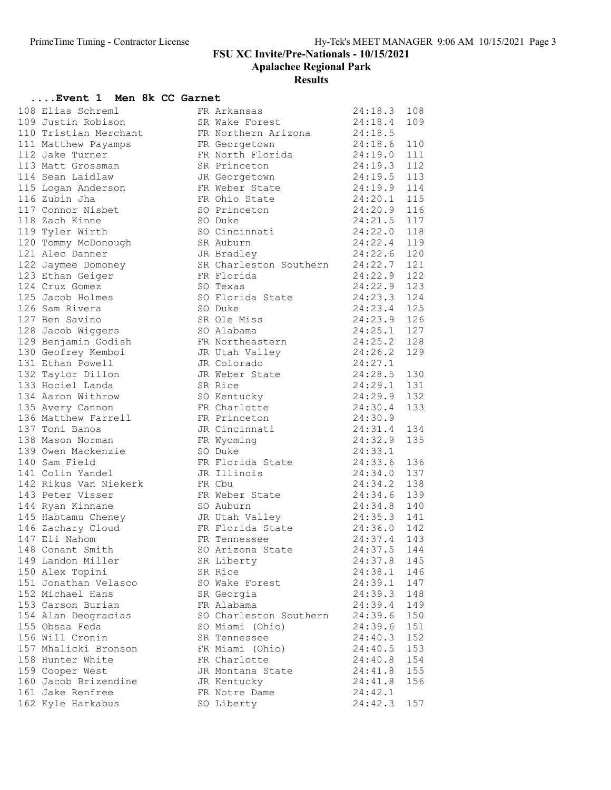#### Results

### ....Event 1 Men 8k CC Garnet

| 108 Elias Schreml                                        | FR Arkansas<br>SR Wake Forest                                                                                              | 24:18.3 108 |     |
|----------------------------------------------------------|----------------------------------------------------------------------------------------------------------------------------|-------------|-----|
| 109 Justin Robison                                       | FR Northern Arizona 24:18.5                                                                                                | 24:18.4     | 109 |
| 110 Tristian Merchant                                    |                                                                                                                            | 24:18.6     |     |
| 111 Matthew Payamps                                      | FR Georgetown                                                                                                              |             | 110 |
| 112 Jake Turner                                          | FR North Florida 24:19.0                                                                                                   |             | 111 |
| 113 Matt Grossman                                        | SR Princeton 24:19.3                                                                                                       |             | 112 |
| 114 Sean Laidlaw                                         | JR Georgetown 24:19.5 113<br>FR Weber State 24:19.9 114<br>FR Ohio State 24:20.1 115                                       |             |     |
| 115 Logan Anderson                                       | FR Weber State<br>FR Ohio State<br>SO Princeton                                                                            |             |     |
| 116 Zubin Jha                                            |                                                                                                                            |             |     |
| 117 Connor Nisbet                                        |                                                                                                                            | 24:20.9     | 116 |
| 118 Zach Kinne                                           | SO Duke                                                                                                                    | 24:21.5     | 117 |
| 119 Tyler Wirth                                          | SO Cincinnati 24:22.0 118                                                                                                  |             |     |
| 120 Tommy McDonough                                      | SR Auburn                                                                                                                  | 24:22.4 119 |     |
| 121 Alec Danner                                          | JR Bradley                                                                                                                 | 24:22.6 120 |     |
| 122 Jaymee Domoney<br>123 Ethan Geiger                   | SR Charleston Southern 24:22.7 121                                                                                         |             |     |
|                                                          | FR Florida                                                                                                                 | 24:22.9     | 122 |
| 124 Cruz Gomez                                           | SO Texas                                                                                                                   | 24:22.9     | 123 |
| 125 Jacob Holmes                                         | SO Florida State 24:23.3                                                                                                   |             | 124 |
| 126 Sam Rivera                                           |                                                                                                                            |             |     |
| 127 Ben Savino                                           | SO Duke<br>SR Ole Miss<br>SO Alabama<br>SO Alabama<br>SO Alabama<br>SR Ole Miss<br>24:23.9<br>24:25.1<br>27                |             |     |
| 128 Jacob Wiggers                                        | SO Alabama                                                                                                                 |             |     |
| 129 Benjamin Godish                                      |                                                                                                                            |             |     |
| 130 Geofrey Kemboi                                       | JR Utah Valley 24:26.2                                                                                                     |             | 129 |
| 131 Ethan Powell                                         | JR Colorado                                                                                                                | 24:27.1     |     |
| 132 Taylor Dillon                                        | JR Weber State 24:28.5 130                                                                                                 |             |     |
| 133 Hociel Landa                                         | SR Rice                                                                                                                    | 24:29.1 131 |     |
| 134 Aaron Withrow                                        | SO Kentucky<br>FR Charlotte                                                                                                | 24:29.9 132 |     |
| 135 Avery Cannon                                         |                                                                                                                            | 24:30.4     | 133 |
| 136 Matthew Farrell                                      | FR Princeton                                                                                                               | 24:30.9     |     |
| 137 Toni Banos                                           | JR Cincinnati 24:31.4                                                                                                      |             | 134 |
| 138 Mason Norman                                         | FR Wyoming                                                                                                                 | 24:32.9     | 135 |
| 139 Owen Mackenzie                                       | SO Duke                                                                                                                    | 24:33.1     |     |
| 140 Sam Field                                            | FR Florida State<br>JR Illinois<br>FR She                                                                                  | 24:33.6     | 136 |
| 141 Colin Yandel                                         |                                                                                                                            | 24:34.0     | 137 |
| 142 Rikus Van Niekerk                                    | FR Cbu                                                                                                                     | 24:34.2     | 138 |
| 143 Peter Visser                                         | FR Weber State 24:34.6 139                                                                                                 |             |     |
| 144 Ryan Kinnane                                         | SO Auburn                                                                                                                  | 24:34.8 140 |     |
| 144 Kyan Kara<br>145 Habtamu Cheney<br>146 Zachary Cloud | JR Utah Valley<br>FR Flori<br>JR Utah Valley $24:35.3$ 141<br>FR Florida State $24:36.0$ 142<br>FR Tennessee $24:37.4$ 143 |             |     |
|                                                          |                                                                                                                            |             |     |
| 147 Eli Nahom                                            |                                                                                                                            |             |     |
| 148 Conant Smith <b>Sanct Smith</b>                      | SO Arizona State 24:37.5 144                                                                                               |             |     |
| 149 Landon Miller                                        | SR Liberty                                                                                                                 | 24:37.8     | 145 |
| 150 Alex Topini                                          | SR Rice                                                                                                                    | 24:38.1     | 146 |
| 151 Jonathan Velasco                                     | SO Wake Forest                                                                                                             | 24:39.1     | 147 |
| 152 Michael Hans                                         | SR Georgia                                                                                                                 | 24:39.3     | 148 |
| 153 Carson Burian                                        | FR Alabama                                                                                                                 | 24:39.4     | 149 |
| 154 Alan Deogracias                                      | SO Charleston Southern                                                                                                     | 24:39.6     | 150 |
| 155 Obsaa Feda                                           | SO Miami (Ohio)                                                                                                            | 24:39.6     | 151 |
| 156 Will Cronin                                          | SR Tennessee                                                                                                               | 24:40.3     | 152 |
| 157 Mhalicki Bronson                                     | FR Miami (Ohio)                                                                                                            | 24:40.5     | 153 |
| 158 Hunter White                                         | FR Charlotte                                                                                                               | 24:40.8     | 154 |
| 159 Cooper West                                          | JR Montana State                                                                                                           | 24:41.8     | 155 |
| 160 Jacob Brizendine                                     | JR Kentucky                                                                                                                | 24:41.8     | 156 |
| 161 Jake Renfree                                         | FR Notre Dame                                                                                                              | 24:42.1     |     |
| 162 Kyle Harkabus                                        | SO Liberty                                                                                                                 | 24:42.3     | 157 |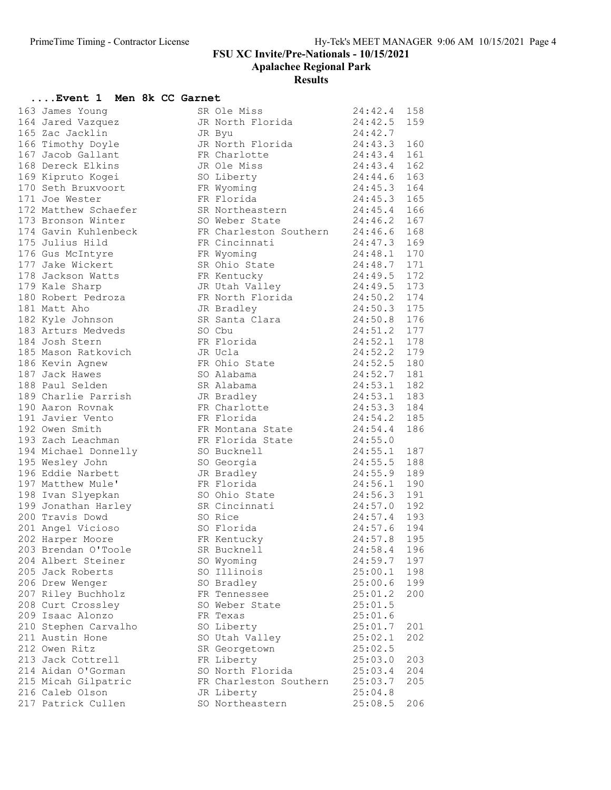| Event 1 Men 8k CC Garnet               |  |                                                                   |                                  |     |
|----------------------------------------|--|-------------------------------------------------------------------|----------------------------------|-----|
| 163 James Young                        |  | SR Ole Miss                                                       | 24:42.4 158                      |     |
| 164 Jared Vazquez                      |  | JR North Florida                                                  | 24:42.5                          | 159 |
| 165 Zac Jacklin                        |  | JR Byu                                                            | 24:42.7                          |     |
| 166 Timothy Doyle                      |  | JR North Florida 24:43.3<br>FR Charlotte 24:43.4                  |                                  | 160 |
| 167 Jacob Gallant                      |  | FR Charlotte<br>JR Ole Miss                                       |                                  | 161 |
| 168 Dereck Elkins                      |  | JR Ole Miss                                                       | 24:43.4                          | 162 |
| 169 Kipruto Kogei                      |  | SO Liberty                                                        | 24:44.6                          | 163 |
| 170 Seth Bruxvoort                     |  | FR Wyoming                                                        | 24:45.3                          | 164 |
| 171 Joe Wester                         |  | FR Florida                                                        | 24:45.3 165                      |     |
| 172 Matthew Schaefer                   |  | SR Northeastern<br>SO Weber State                                 | 24:45.4 166<br>24:46.2 167       |     |
| 173 Bronson Winter                     |  | SO Weber State                                                    |                                  |     |
| 174 Gavin Kuhlenbeck                   |  | FR Charleston Southern 24:46.6                                    |                                  | 168 |
| 175 Julius Hild                        |  | FR Cincinnati                                                     | 24:47.3                          | 169 |
| 176 Gus McIntyre                       |  | FR Wyoming                                                        | i $24:47.3$ 109<br>$24:48.1$ 170 |     |
| 177 Jake Wickert                       |  | SR Ohio State 24:48.7 171                                         |                                  |     |
| 178 Jackson Watts<br>179 Fele Sharp    |  | FR Kentucky                                                       | 24:49.5 172<br>24:49.5 173       |     |
| 179 Kale Sharp                         |  | rk Kentucky<br>JR Utah Valley                                     |                                  |     |
| 180 Robert Pedroza                     |  | FR North Florida 24:50.2 174<br>JR Bradley 24:50.3 175            |                                  |     |
| 181 Matt Aho                           |  |                                                                   |                                  |     |
| 182 Kyle Johnson                       |  | SR Santa Clara 24:50.8                                            |                                  | 176 |
| 183 Arturs Medveds                     |  | SO Cbu                                                            | 24:51.2 177                      |     |
| 184 Josh Stern                         |  | FR Florida                                                        | 24:52.1 178                      |     |
| 184 Josn Stern<br>185 Mason Ratkovich  |  | JR Ucla                                                           | 24:52.2 179                      |     |
| 186 Kevin Agnew                        |  | FR Ohio State                                                     | 24:52.5 180                      |     |
| 187 Jack Hawes                         |  | SO Alabama                                                        | 24:52.7                          | 181 |
| 188 Paul Selden                        |  | SR Alabama                                                        | 24:53.1                          | 182 |
| 189 Charlie Parrish                    |  | JR Bradley                                                        | 24:53.1 183                      |     |
| 190 Aaron Rovnak                       |  | FR Charlotte                                                      | 24:53.3 184                      |     |
| 191 Javier Vento                       |  | FR Florida                                                        | 24:54.2 185                      |     |
| 192 Owen Smith                         |  | FR Montana State 24:54.4                                          |                                  | 186 |
| 193 Zach Leachman                      |  | FR Florida State 24:55.0                                          |                                  |     |
| 194 Michael Donnelly                   |  | SO Bucknell                                                       | 24:55.1                          | 187 |
| 195 Wesley John                        |  | SO Georgia                                                        | 24:55.5                          | 188 |
| 196 Eddie Narbett<br>197 Matthew Mule' |  | JR Bradley 24:55.9<br>FR Florida 24:56.1<br>SO Ohio State 24:56.3 | 24:55.9 189                      |     |
|                                        |  |                                                                   | 24:56.1 190                      |     |
| 198 Ivan Slyepkan                      |  |                                                                   |                                  | 191 |
| 199 Jonathan Harley                    |  | SR Cincinnati 24:57.0 192                                         |                                  |     |
| 200 Travis Dowd                        |  | SO Rice                                                           | 24:57.4 193                      |     |
| 201 Angel Vicioso                      |  | SO Florida                                                        | 24:57.6 194                      |     |
| 202 Harper Moore                       |  | FR Kentucky                                                       | 24:57.8 195                      |     |
| 203 Brendan O'Toole                    |  | SR Bucknell                                                       | 24:58.4                          | 196 |
| 204 Albert Steiner                     |  | SO Wyoming                                                        | 24:59.7                          | 197 |
| 205 Jack Roberts                       |  | SO Illinois                                                       | 25:00.1                          | 198 |
| 206 Drew Wenger                        |  | SO Bradley                                                        | 25:00.6                          | 199 |
| 207 Riley Buchholz                     |  | FR Tennessee                                                      | 25:01.2                          | 200 |
| 208 Curt Crossley                      |  | SO Weber State                                                    | 25:01.5                          |     |
| 209 Isaac Alonzo                       |  | FR Texas                                                          | 25:01.6                          |     |
| 210 Stephen Carvalho                   |  | SO Liberty                                                        | 25:01.7                          | 201 |
| 211 Austin Hone                        |  | SO Utah Valley                                                    | 25:02.1                          | 202 |
| 212 Owen Ritz                          |  | SR Georgetown                                                     | 25:02.5                          |     |
| 213 Jack Cottrell                      |  | FR Liberty                                                        | 25:03.0                          | 203 |
| 214 Aidan O'Gorman                     |  | SO North Florida                                                  | 25:03.4                          | 204 |
| 215 Micah Gilpatric                    |  | FR Charleston Southern                                            | 25:03.7                          | 205 |
| 216 Caleb Olson                        |  | JR Liberty                                                        | 25:04.8                          |     |
| 217 Patrick Cullen                     |  | SO Northeastern                                                   | 25:08.5                          | 206 |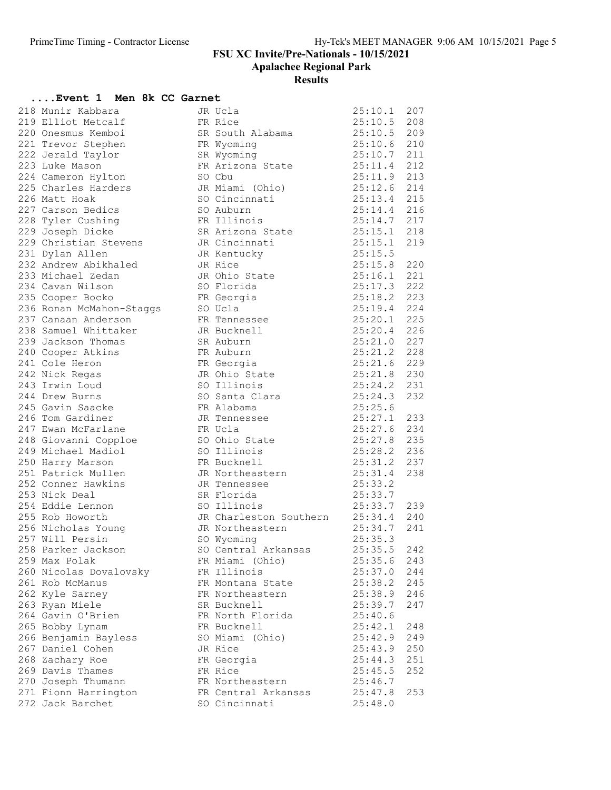Apalachee Regional Park

#### Results

### ....Event 1 Men 8k CC Garnet

| 218 Munir Kabbara                                           | JR Ucla                                     | 25:10.1                        | 207 |
|-------------------------------------------------------------|---------------------------------------------|--------------------------------|-----|
| 219 Elliot Metcalf                                          | FR Rice                                     | 25:10.5 208                    |     |
| 220 Onesmus Kemboi                                          | SR South Alabama 25:10.5 209                |                                |     |
| 221 Trevor Stephen                                          | FR Wyoming                                  | 25:10.6 210                    |     |
| 222 Jerald Taylor                                           | SR Wyoming                                  | $25:10.7$ 211                  |     |
| 223 Luke Mason                                              | FR Arizona State                            | $25:11.4$ 212<br>$25:11.4$ 212 |     |
| 224 Cameron Hylton                                          | SO Cbu                                      | 25:11.9 213                    |     |
| 225 Charles Harders<br>226 Matt Hall                        | JR Miami (Ohio) 25:12.6 214                 |                                |     |
| 226 Matt Hoak                                               | SO Cincinnati 25:13.4 215                   |                                |     |
| 227 Carson Bedics                                           | SO Auburn                                   | 25:14.4 216                    |     |
| 228 Tyler Cushing                                           | FR Illinois                                 | 25:14.7 217                    |     |
| 229 Joseph Dicke                                            | SR Arizona State<br>JR Cincinnati           | $25:15.1$ 217<br>25:15.1 218   |     |
|                                                             | JR Cincinnati                               | 25:15.1                        | 219 |
| 229 Christian Stevens<br>231 Dvlan Allen<br>231 Dylan Allen | JR Kentucky                                 | 25:15.5                        |     |
| 232 Andrew Abikhaled                                        | JR Rice                                     | 25:15.8                        | 220 |
| 233 Michael Zedan                                           | JR Ohio State                               | 25:16.1                        | 221 |
| 234 Cavan Wilson                                            | SO Florida                                  | 25:17.3 222                    |     |
| 235 Cooper Bocko                                            | FR Georgia                                  | $25:18.2$ 223                  |     |
| 236 Ronan McMahon-Staggs                                    | FR Geory<br>SO Ucla                         | 25:19.4 224                    |     |
| 237 Canaan Anderson                                         | FR Tennessee                                | 25:20.1 225                    |     |
| 238 Samuel Whittaker                                        | JR Bucknell                                 | 25:20.4 226                    |     |
| 239 Jackson Thomas                                          | SR Auburn                                   | 25:21.0 227                    |     |
| 240 Cooper Atkins                                           | FR Auburn                                   | 25:21.2 228                    |     |
| 241 Cole Heron                                              | FR Georgia                                  | $25:21.6$ 229<br>$25:21.6$ 229 |     |
| 242 Nick Regas                                              |                                             | 25:21.8 230                    |     |
| 243 Irwin Loud                                              | JR Ohio State<br>so Illinois<br>SO Illinois | 25:24.2 231                    |     |
| 244 Drew Burns                                              | SO Santa Clara 25:24.3                      |                                | 232 |
| 245 Gavin Saacke                                            | FR Alabama<br>25:25.6                       |                                |     |
| 246 Tom Gardiner                                            | JR Tennessee                                | 25:27.1 233                    |     |
| 247 Ewan McFarlane                                          | FR Ucla                                     | 25:27.6 234                    |     |
|                                                             |                                             | $25:27.8$ 235                  |     |
| 248 Giovanni Copploe<br>249 Michael Madiol                  | SO Ohio State<br>SO Illinois                | 25:28.2 236                    |     |
| 250 Harry Marson                                            | FR Bucknell                                 | 25:31.2 237                    |     |
| 251 Patrick Mullen                                          | JR Northeastern 25:31.4                     |                                | 238 |
| 252 Conner Hawkins                                          | JR Tennessee                                | 25:33.2                        |     |
| 253 Nick Deal                                               | SR Florida                                  |                                |     |
|                                                             | $25:33.7$<br>$25:33.7$<br>SO Illinois       | 25:33.7 239                    |     |
| 254 Eddie Lennon<br>255 Rob Howorth<br>255 Rob Howorth      | JR Charleston Southern 25:34.4 240          |                                |     |
|                                                             | JR Northeastern 25:34.7                     |                                | 241 |
| 256 Nicholas Young<br>257 Will Persin                       | SO Wyoming                                  | 25:35.3                        |     |
| 258 Parker Jackson                                          | SO Central Arkansas                         | 25:35.5                        | 242 |
| 259 Max Polak                                               | FR Miami (Ohio)                             | 25:35.6                        | 243 |
| 260 Nicolas Dovalovsky                                      | FR Illinois                                 | 25:37.0                        | 244 |
| 261 Rob McManus                                             | FR Montana State                            | 25:38.2                        | 245 |
| 262 Kyle Sarney                                             | FR Northeastern                             | 25:38.9                        | 246 |
| 263 Ryan Miele                                              | SR Bucknell                                 | 25:39.7                        | 247 |
| 264 Gavin O'Brien                                           |                                             | 25:40.6                        |     |
|                                                             | FR North Florida                            |                                |     |
| 265 Bobby Lynam                                             | FR Bucknell                                 | 25:42.1                        | 248 |
| 266 Benjamin Bayless                                        | SO Miami (Ohio)                             | 25:42.9                        | 249 |
| 267 Daniel Cohen                                            | JR Rice                                     | 25:43.9                        | 250 |
| 268 Zachary Roe                                             | FR Georgia                                  | 25:44.3                        | 251 |
| 269 Davis Thames                                            | FR Rice                                     | 25:45.5                        | 252 |
| 270 Joseph Thumann                                          | FR Northeastern                             | 25:46.7                        |     |
| 271 Fionn Harrington                                        | FR Central Arkansas                         | 25:47.8                        | 253 |
| 272 Jack Barchet                                            | SO Cincinnati                               | 25:48.0                        |     |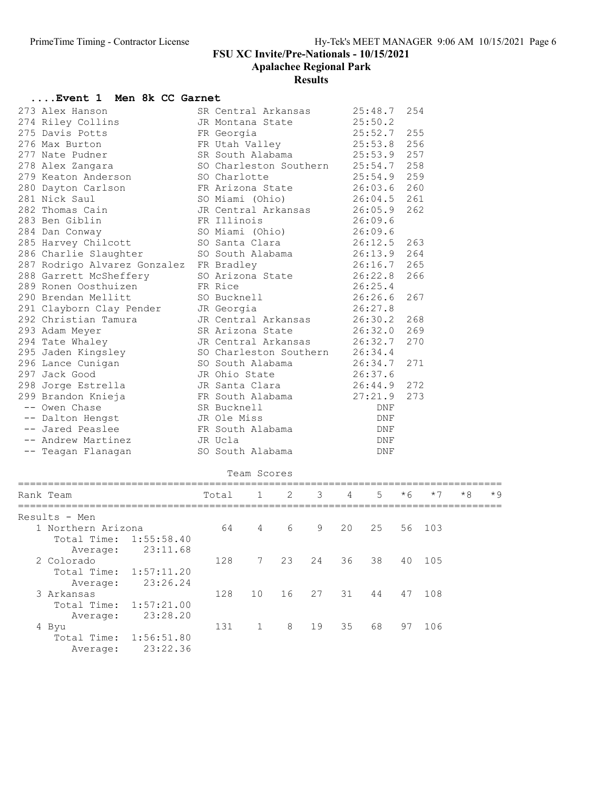| Event 1 Men 8k CC Garnet                 |                                            |                        |            |    |                |                |      |        |      |      |
|------------------------------------------|--------------------------------------------|------------------------|------------|----|----------------|----------------|------|--------|------|------|
| 273 Alex Hanson                          |                                            | SR Central Arkansas    |            |    |                | 25:48.7        | 254  |        |      |      |
| 274 Riley Collins                        |                                            | JR Montana State       |            |    |                | 25:50.2        |      |        |      |      |
| 275 Davis Potts                          | FR Georgia                                 |                        |            |    |                | 25:52.7        | 255  |        |      |      |
| 276 Max Burton                           |                                            | FR Utah Valley         |            |    |                | 25:53.8        | 256  |        |      |      |
| 277 Nate Pudner                          |                                            | SR South Alabama       |            |    |                | 25:53.9        | 257  |        |      |      |
| 278 Alex Zangara                         |                                            | SO Charleston Southern |            |    |                | 25:54.7        | 258  |        |      |      |
| 279 Keaton Anderson                      | SO Charlotte                               |                        |            |    |                | 25:54.9        | 259  |        |      |      |
| 280 Dayton Carlson                       | FR Arizona State<br>SO Miami               |                        |            |    |                | 26:03.6        | 260  |        |      |      |
| 281 Nick Saul                            |                                            | SO Miami (Ohio)        |            |    |                | 26:04.5        | 261  |        |      |      |
| 282 Thomas Cain                          |                                            | JR Central Arkansas    |            |    |                | 26:05.9        | 262  |        |      |      |
| 283 Ben Giblin                           | FR Illinois                                |                        |            |    |                | 26:09.6        |      |        |      |      |
| 284 Dan Conway                           |                                            | SO Miami (Ohio)        |            |    |                | 26:09.6        |      |        |      |      |
| 285 Harvey Chilcott                      |                                            | SO Santa Clara         |            |    |                | 26:12.5        | 263  |        |      |      |
| 286 Charlie Slaughter                    |                                            | SO South Alabama       |            |    |                | 26:13.9        | 264  |        |      |      |
| 287 Rodrigo Alvarez Gonzalez FR Bradley  |                                            |                        |            |    |                | 26:16.7        | 265  |        |      |      |
| 288 Garrett McSheffery                   |                                            | SO Arizona State       |            |    |                | 26:22.8        | 266  |        |      |      |
| 289 Ronen Oosthuizen                     | FR Rice                                    |                        |            |    |                | 26:25.4        |      |        |      |      |
| 290 Brendan Mellitt                      |                                            | SO Bucknell            |            |    |                | 26:26.6        | 267  |        |      |      |
| 291 Clayborn Clay Pender                 | JR Georgia                                 |                        |            |    |                | 26:27.8        |      |        |      |      |
| 292 Christian Tamura                     |                                            | JR Central Arkansas    |            |    |                | 26:30.2        | 268  |        |      |      |
| 293 Adam Meyer                           |                                            | SR Arizona State       |            |    | 26:32.0<br>269 |                |      |        |      |      |
| 294 Tate Whaley                          |                                            | JR Central Arkansas    |            |    |                | 26:32.7        | 270  |        |      |      |
| 295 Jaden Kingsley                       |                                            | 26:34.4                |            |    |                |                |      |        |      |      |
| 296 Lance Cunigan                        | SO Charleston Southern<br>SO South Alabama |                        |            |    |                | 26:34.7<br>271 |      |        |      |      |
| 297 Jack Good                            | JR Ohio State                              |                        |            |    | 26:37.6        |                |      |        |      |      |
|                                          |                                            | JR Santa Clara         |            |    |                | 26:44.9<br>272 |      |        |      |      |
| 298 Jorge Estrella<br>299 Brandon Knieja | JR Santa Ciaia<br>FR South Alabama         |                        |            |    | 27:21.9<br>273 |                |      |        |      |      |
| -- Owen Chase                            | SR Bucknell                                |                        | <b>DNF</b> |    |                |                |      |        |      |      |
| JR Ole Miss<br>-- Dalton Hengst          |                                            |                        | DNF        |    |                |                |      |        |      |      |
| -- Jared Peaslee                         | FR South Alabama                           |                        |            |    |                | DNF            |      |        |      |      |
| -- Andrew Martinez                       | JR Ucla                                    |                        |            |    | DNF            |                |      |        |      |      |
| -- Teagan Flanagan                       |                                            | SO South Alabama       |            |    |                | DNF            |      |        |      |      |
|                                          |                                            |                        |            |    |                |                |      |        |      |      |
|                                          |                                            | Team Scores            |            |    |                |                |      |        |      |      |
| Rank Team                                | Total                                      | $\mathbf{1}$           | 2          | 3  | 4              | 5              | $*6$ | $*7$   | $*8$ | $*9$ |
|                                          |                                            |                        |            |    |                |                |      |        |      |      |
| Results - Men                            |                                            |                        |            |    |                |                |      |        |      |      |
| 1 Northern Arizona                       |                                            | 64 —<br>$4\degree$     | 6          | 9  | 20             | 25             | 56   | 103    |      |      |
| Total Time: 1:55:58.40                   |                                            |                        |            |    |                |                |      |        |      |      |
| 23:11.68<br>Average:                     |                                            |                        |            |    |                |                |      |        |      |      |
| 2 Colorado                               |                                            | 128<br>$7\overline{ }$ | 23         | 24 | 36             | 38             |      | 40 105 |      |      |
| Total Time:<br>1:57:11.20                |                                            |                        |            |    |                |                |      |        |      |      |
| 23:26.24<br>Average:                     |                                            |                        |            |    |                |                |      |        |      |      |
| 3 Arkansas                               | 128                                        | 10 <sub>o</sub>        | 16         | 27 | 31             | 44             | 47   | 108    |      |      |
| Total Time:<br>1:57:21.00                |                                            |                        |            |    |                |                |      |        |      |      |
| 23:28.20<br>Average:                     |                                            |                        |            |    |                |                |      |        |      |      |
| 4 Byu                                    | 131                                        | $\mathbf{1}$           | 8          | 19 | 35             | 68             | 97   | 106    |      |      |
| 1:56:51.80<br>Total Time:                |                                            |                        |            |    |                |                |      |        |      |      |
| 23:22.36<br>Average:                     |                                            |                        |            |    |                |                |      |        |      |      |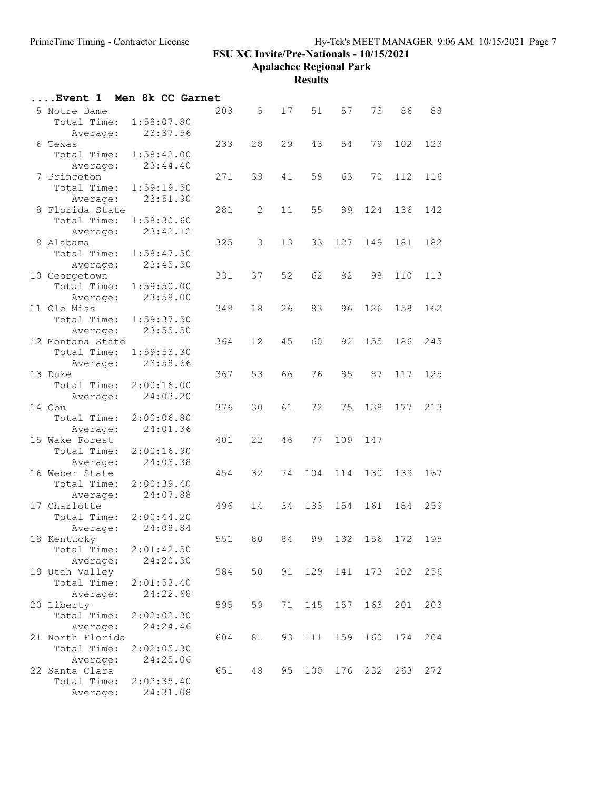Apalachee Regional Park

| Event 1            |            |          | Men 8k CC Garnet |           |                      |     |     |         |                 |     |
|--------------------|------------|----------|------------------|-----------|----------------------|-----|-----|---------|-----------------|-----|
| 5 Notre Dame       |            |          | 203              |           | 5 <sup>5</sup><br>17 | 51  | 57  | 73      | 86              | 88  |
| Total Time:        | 1:58:07.80 |          |                  |           |                      |     |     |         |                 |     |
| Average:           | 23:37.56   |          |                  |           |                      |     |     |         |                 |     |
| 6 Texas            |            |          | 233              | 28        | 29                   | 43  | 54  | 79      | 102             | 123 |
| Total Time:        | 1:58:42.00 |          |                  |           |                      |     |     |         |                 |     |
| Average:           |            | 23:44.40 |                  |           |                      |     |     |         |                 |     |
| 7 Princeton        |            |          | 271              | 39        | 41                   | 58  | 63  | 70      | 112             | 116 |
| Total Time:        | 1:59:19.50 |          |                  |           |                      |     |     |         |                 |     |
| Average:           |            | 23:51.90 |                  |           |                      |     |     |         |                 |     |
| 8 Florida State    |            |          | 281              | 2         | 11                   | 55  | 89  | 124     | 136             | 142 |
| Total Time:        | 1:58:30.60 |          |                  |           |                      |     |     |         |                 |     |
| Average:           | 23:42.12   |          |                  |           |                      |     |     |         |                 |     |
| 9 Alabama          |            |          | 325              | 3         | 13                   | 33  | 127 | 149     | 181             | 182 |
| Total Time:        | 1:58:47.50 |          |                  |           |                      |     |     |         |                 |     |
| Average:           |            | 23:45.50 |                  |           |                      |     |     |         |                 |     |
| 10 Georgetown      |            |          | 331              | 37        | 52                   | 62  | 82  | 98      | 110             | 113 |
| Total Time:        | 1:59:50.00 |          |                  |           |                      |     |     |         |                 |     |
| Average:           |            | 23:58.00 |                  |           |                      |     |     |         |                 |     |
| 11 Ole Miss        |            |          | 349              | 18        | 26                   | 83  | 96  | 126     | 158             | 162 |
| Total Time:        | 1:59:37.50 |          |                  |           |                      |     |     |         |                 |     |
| Average:           |            | 23:55.50 |                  |           |                      |     |     |         |                 |     |
| 12 Montana State   |            |          | 364              | 12        | 45                   | 60  | 92  | 155     | 186             | 245 |
| Total Time:        | 1:59:53.30 |          |                  |           |                      |     |     |         |                 |     |
| Average:           | 23:58.66   |          |                  |           |                      |     |     |         |                 |     |
| 13 Duke            |            |          | 367              | 53        | 66                   | 76  | 85  | 87      | 117             | 125 |
| Total Time:        | 2:00:16.00 | 24:03.20 |                  |           |                      |     |     |         |                 |     |
| Average:<br>14 Cbu |            |          | 376              | 30        | 61                   | 72  | 75  | 138     | 177             | 213 |
| Total Time:        | 2:00:06.80 |          |                  |           |                      |     |     |         |                 |     |
| Average:           |            | 24:01.36 |                  |           |                      |     |     |         |                 |     |
| 15 Wake Forest     |            |          | 401              | 22        | 46                   | 77  | 109 | 147     |                 |     |
| Total Time:        | 2:00:16.90 |          |                  |           |                      |     |     |         |                 |     |
| Average:           |            | 24:03.38 |                  |           |                      |     |     |         |                 |     |
| 16 Weber State     |            |          | 454              | 32        | 74                   | 104 | 114 | 130     | 139             | 167 |
| Total Time:        | 2:00:39.40 |          |                  |           |                      |     |     |         |                 |     |
| Average:           |            | 24:07.88 |                  |           |                      |     |     |         |                 |     |
| 17 Charlotte       |            |          | 496              | 14        | 34                   | 133 | 154 | 161     | 184             | 259 |
| Total Time:        | 2:00:44.20 |          |                  |           |                      |     |     |         |                 |     |
| Average:           |            | 24:08.84 |                  |           |                      |     |     |         |                 |     |
| 18 Kentucky        |            |          | 551              | 80        | 84                   | 99  |     |         | 132 156 172 195 |     |
| Total Time:        | 2:01:42.50 |          |                  |           |                      |     |     |         |                 |     |
| Average:           |            | 24:20.50 |                  |           |                      |     |     |         |                 |     |
| 19 Utah Valley     |            |          | 584              | 50        | 91                   | 129 | 141 | 173     | 202             | 256 |
| Total Time:        | 2:01:53.40 |          |                  |           |                      |     |     |         |                 |     |
| Average:           |            | 24:22.68 |                  |           |                      |     |     |         |                 |     |
| 20 Liberty         |            |          | 595              | 59        | 71                   | 145 |     | 157 163 | 201             | 203 |
| Total Time:        | 2:02:02.30 |          |                  |           |                      |     |     |         |                 |     |
| Average:           |            | 24:24.46 |                  |           |                      |     |     |         |                 |     |
| 21 North Florida   |            |          | 604              | 81        | 93                   | 111 | 159 | 160     | 174             | 204 |
| Total Time:        | 2:02:05.30 |          |                  |           |                      |     |     |         |                 |     |
| Average:           |            | 24:25.06 |                  |           |                      |     |     |         |                 |     |
| 22 Santa Clara     |            |          |                  | 651<br>48 | 95                   | 100 | 176 | 232     | 263             | 272 |
| Total Time:        | 2:02:35.40 |          |                  |           |                      |     |     |         |                 |     |
| Average:           |            | 24:31.08 |                  |           |                      |     |     |         |                 |     |